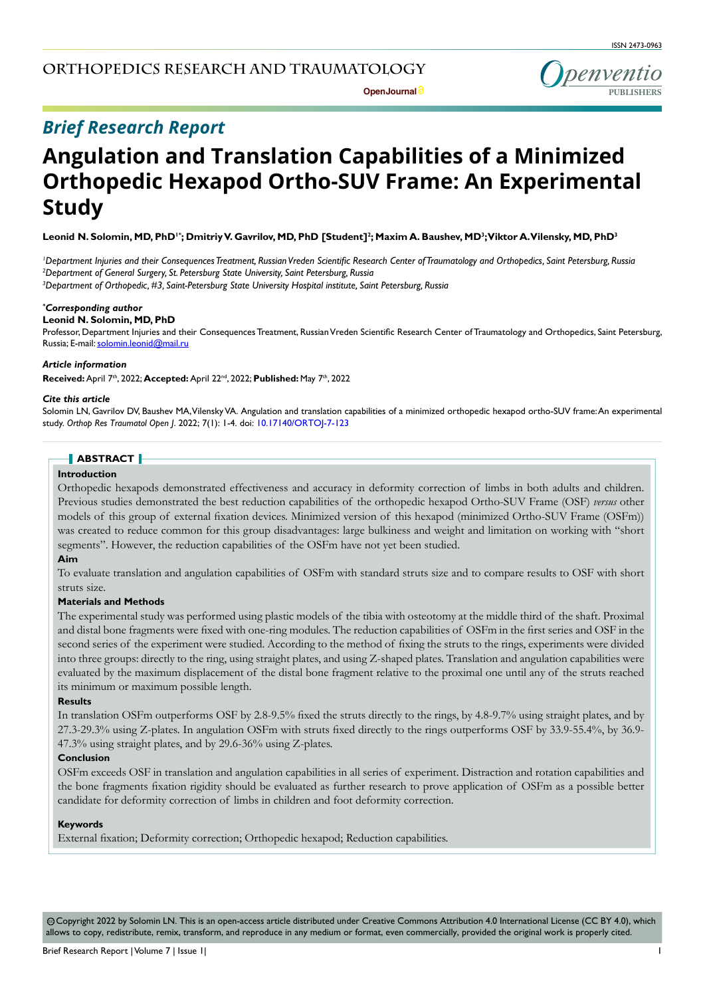**Open Journal** *e* 

penventio

# *Brief Research Report*

# **Angulation and Translation Capabilities of a Minimized Orthopedic Hexapod Ortho-SUV Frame: An Experimental Study**

Leonid N. Solomin, MD, PhD<sup>1+</sup>; Dmitriy V. Gavrilov, MD, PhD [Student]<sup>2</sup>; Maxim A. Baushev, MD<sup>3</sup>;Viktor A. Vilensky, MD, PhD<sup>3</sup>

*1 Department Injuries and their Consequences Treatment, Russian Vreden Scientific Research Center of Traumatology and Orthopedics, Saint Petersburg, Russia 2 Department of General Surgery, St. Petersburg State University, Saint Petersburg, Russia 3 Department of Orthopedic, #3, Saint-Petersburg State University Hospital institute, Saint Petersburg, Russia*

*\* Corresponding author*

# **Leonid N. Solomin, MD, PhD**

Professor, Department Injuries and their Consequences Treatment, Russian Vreden Scientific Research Center of Traumatology and Orthopedics, Saint Petersburg, Russia; E-mail: solomin.leonid@mail.ru

#### *Article information*

**Received:** April 7th, 2022; **Accepted:** April 22nd, 2022; **Published:** May 7th, 2022

#### *Cite this article*

Solomin LN, Gavrilov DV, Baushev MA, Vilensky VA. Angulation and translation capabilities of a minimized orthopedic hexapod ortho-SUV frame: An experimental study. *Orthop Res Traumatol Open J*. 2022; 7(1): 1-4. doi: [10.17140/ORTOJ-7-123](http://dx.doi.org/10.17140/ORTOJ-7-123)

# **ABSTRACT**

#### **Introduction**

Orthopedic hexapods demonstrated effectiveness and accuracy in deformity correction of limbs in both adults and children. Previous studies demonstrated the best reduction capabilities of the orthopedic hexapod Ortho-SUV Frame (OSF) *versus* other models of this group of external fixation devices. Minimized version of this hexapod (minimized Ortho-SUV Frame (OSFm)) was created to reduce common for this group disadvantages: large bulkiness and weight and limitation on working with "short segments". However, the reduction capabilities of the OSFm have not yet been studied.

#### **Aim**

To evaluate translation and angulation capabilities of OSFm with standard struts size and to compare results to OSF with short struts size.

## **Materials and Methods**

The experimental study was performed using plastic models of the tibia with osteotomy at the middle third of the shaft. Proximal and distal bone fragments were fixed with one-ring modules. The reduction capabilities of OSFm in the first series and OSF in the second series of the experiment were studied. According to the method of fixing the struts to the rings, experiments were divided into three groups: directly to the ring, using straight plates, and using Z-shaped plates. Translation and angulation capabilities were evaluated by the maximum displacement of the distal bone fragment relative to the proximal one until any of the struts reached its minimum or maximum possible length.

#### **Results**

In translation OSFm outperforms OSF by 2.8-9.5% fixed the struts directly to the rings, by 4.8-9.7% using straight plates, and by 27.3-29.3% using Z-plates. In angulation OSFm with struts fixed directly to the rings outperforms OSF by 33.9-55.4%, by 36.9- 47.3% using straight plates, and by 29.6-36% using Z-plates.

#### **Conclusion**

OSFm exceeds OSF in translation and angulation capabilities in all series of experiment. Distraction and rotation capabilities and the bone fragments fixation rigidity should be evaluated as further research to prove application of OSFm as a possible better candidate for deformity correction of limbs in children and foot deformity correction.

#### **Keywords**

External fixation; Deformity correction; Orthopedic hexapod; Reduction capabilities.

 Copyright 2022 by Solomin LN. This is an open-access article distributed under Creative Commons Attribution 4.0 International License (CC BY 4.0), which cc allows to copy, redistribute, remix, transform, and reproduce in any medium or format, even commercially, provided the original work is properly cited.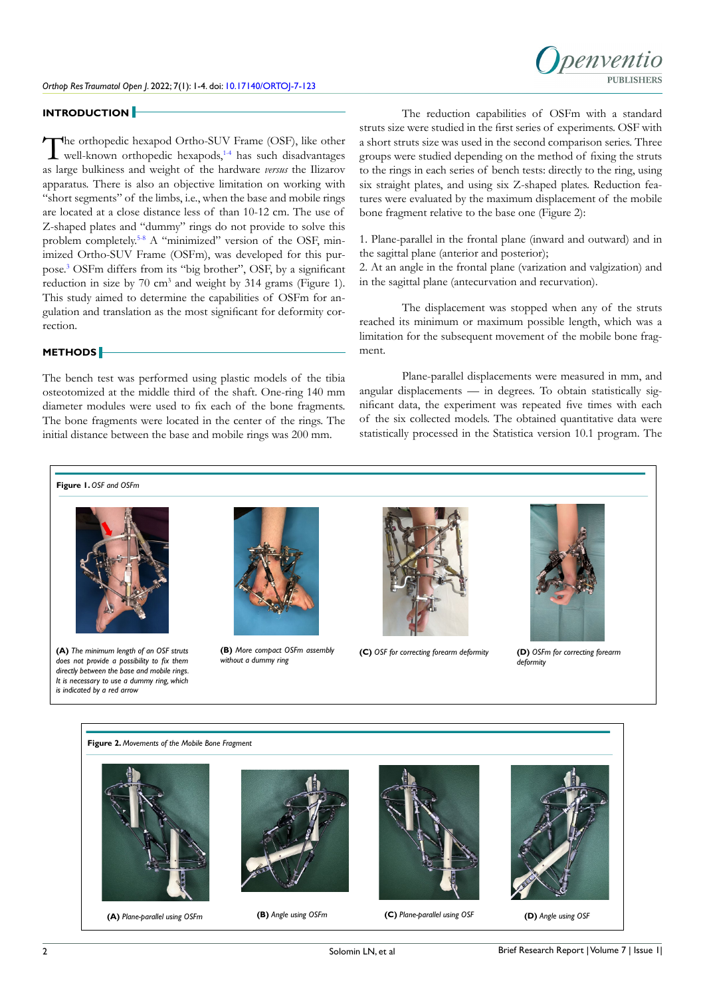

#### **INTRODUCTION**

The orthopedic hexapod Ortho-SUV Frame (OSF), like other well-known orthopedic hexapods,<sup>14</sup> has such disadvantages as large bulkiness and weight of the hardware *versus* the Ilizarov apparatus. There is also an objective limitation on working with "short segments" of the limbs, i.e., when the base and mobile rings are located at a close distance less of than 10-12 cm. The use of Z-shaped plates and "dummy" rings do not provide to solve this problem completely.[5-8](#page-3-1) A "minimized" version of the OSF, minimized Ortho-SUV Frame (OSFm), was developed for this purpose.[3](#page-3-2) OSFm differs from its "big brother", OSF, by a significant reduction in size by 70 cm<sup>3</sup> and weight by 314 grams (Figure 1). This study aimed to determine the capabilities of OSFm for angulation and translation as the most significant for deformity correction.

#### **METHODS**

The bench test was performed using plastic models of the tibia osteotomized at the middle third of the shaft. One-ring 140 mm diameter modules were used to fix each of the bone fragments. The bone fragments were located in the center of the rings. The initial distance between the base and mobile rings was 200 mm.

The reduction capabilities of OSFm with a standard struts size were studied in the first series of experiments. OSF with a short struts size was used in the second comparison series. Three groups were studied depending on the method of fixing the struts to the rings in each series of bench tests: directly to the ring, using six straight plates, and using six Z-shaped plates. Reduction features were evaluated by the maximum displacement of the mobile bone fragment relative to the base one (Figure 2):

1. Plane-parallel in the frontal plane (inward and outward) and in the sagittal plane (anterior and posterior);

2. At an angle in the frontal plane (varization and valgization) and in the sagittal plane (antecurvation and recurvation).

The displacement was stopped when any of the struts reached its minimum or maximum possible length, which was a limitation for the subsequent movement of the mobile bone fragment.

Plane-parallel displacements were measured in mm, and angular displacements — in degrees. To obtain statistically significant data, the experiment was repeated five times with each of the six collected models. The obtained quantitative data were statistically processed in the Statistica version 10.1 program. The



Solomin LN, et al

**(C)** *Plane-parallel using OSF* **(D)** *Angle using OSF*

**(A)** *Plane-parallel using OSFm* **(B)** *Angle using OSFm*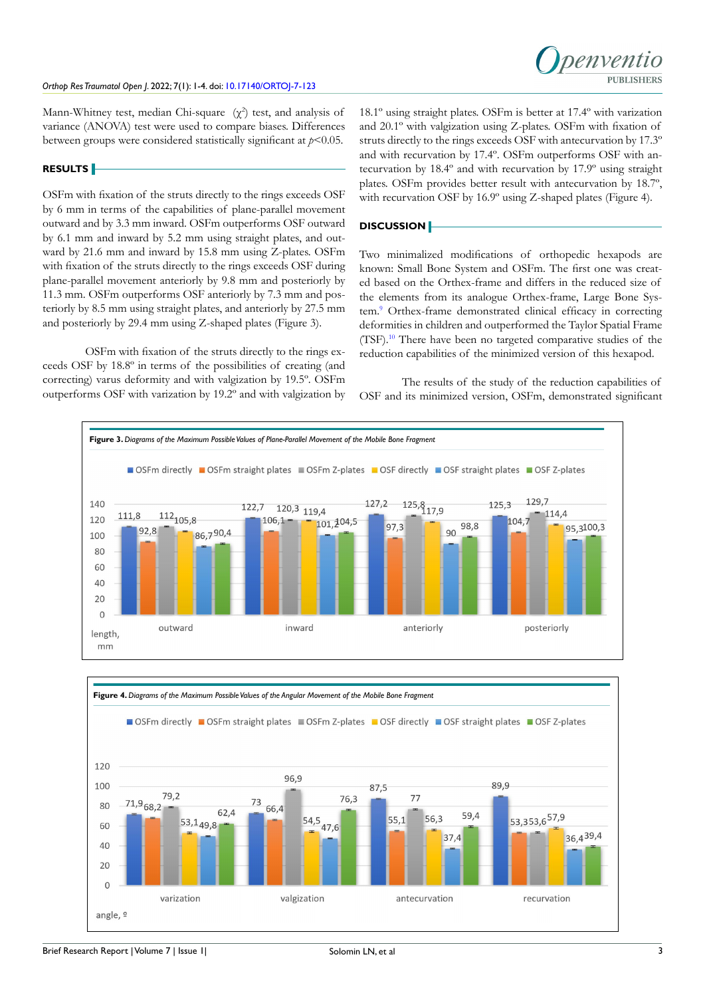

Mann-Whitney test, median Chi-square  $(\chi^2)$  test, and analysis of variance (ANOVA) test were used to compare biases. Differences between groups were considered statistically significant at *p*<0.05.

#### **RESULTS**

OSFm with fixation of the struts directly to the rings exceeds OSF by 6 mm in terms of the capabilities of plane-parallel movement outward and by 3.3 mm inward. OSFm outperforms OSF outward by 6.1 mm and inward by 5.2 mm using straight plates, and outward by 21.6 mm and inward by 15.8 mm using Z-plates. OSFm with fixation of the struts directly to the rings exceeds OSF during plane-parallel movement anteriorly by 9.8 mm and posteriorly by 11.3 mm. OSFm outperforms OSF anteriorly by 7.3 mm and posteriorly by 8.5 mm using straight plates, and anteriorly by 27.5 mm and posteriorly by 29.4 mm using Z-shaped plates (Figure 3).

OSFm with fixation of the struts directly to the rings exceeds OSF by 18.8º in terms of the possibilities of creating (and correcting) varus deformity and with valgization by 19.5º. OSFm outperforms OSF with varization by 19.2º and with valgization by 18.1º using straight plates. OSFm is better at 17.4º with varization and 20.1º with valgization using Z-plates. OSFm with fixation of struts directly to the rings exceeds OSF with antecurvation by 17.3º and with recurvation by 17.4º. OSFm outperforms OSF with antecurvation by 18.4º and with recurvation by 17.9º using straight plates. OSFm provides better result with antecurvation by 18.7º, with recurvation OSF by 16.9º using Z-shaped plates (Figure 4).

#### **DISCUSSION**

Two minimalized modifications of orthopedic hexapods are known: Small Bone System and OSFm. The first one was created based on the Orthex-frame and differs in the reduced size of the elements from its analogue Orthex-frame, Large Bone Sys-tem.<sup>[9](#page-3-3)</sup> Orthex-frame demonstrated clinical efficacy in correcting deformities in children and outperformed the Taylor Spatial Frame (TSF)[.10](#page-3-4) There have been no targeted comparative studies of the reduction capabilities of the minimized version of this hexapod.

The results of the study of the reduction capabilities of OSF and its minimized version, OSFm, demonstrated significant



Brief Research Report | Volume 7 | Issue 1| 3